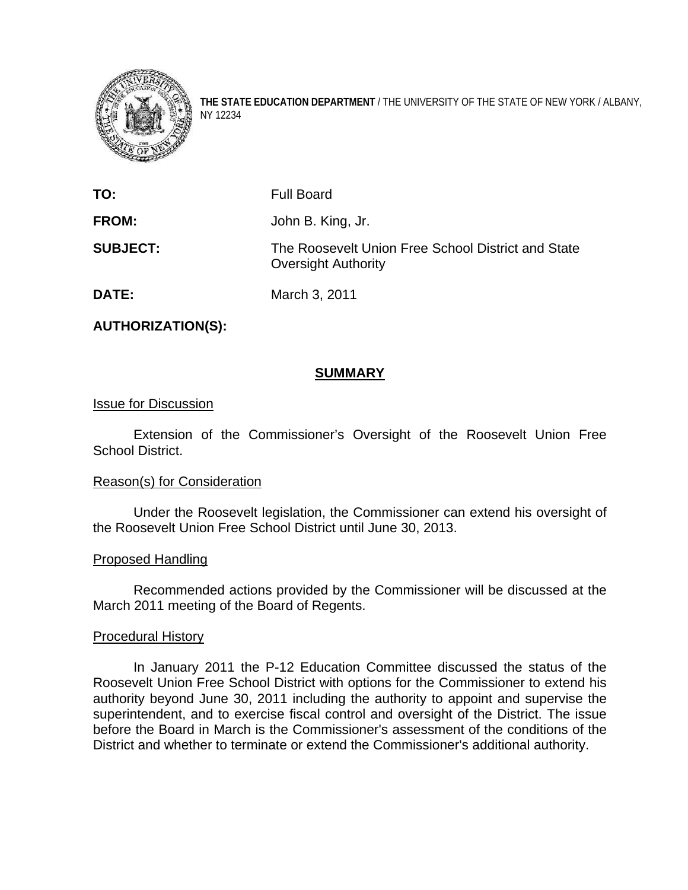

**THE STATE EDUCATION DEPARTMENT** / THE UNIVERSITY OF THE STATE OF NEW YORK / ALBANY, NY 12234

| TO:             | <b>Full Board</b>                                                                |
|-----------------|----------------------------------------------------------------------------------|
| <b>FROM:</b>    | John B. King, Jr.                                                                |
| <b>SUBJECT:</b> | The Roosevelt Union Free School District and State<br><b>Oversight Authority</b> |
| <b>DATE:</b>    | March 3, 2011                                                                    |

**AUTHORIZATION(S):** 

# **SUMMARY**

#### Issue for Discussion

 Extension of the Commissioner's Oversight of the Roosevelt Union Free School District.

#### Reason(s) for Consideration

Under the Roosevelt legislation, the Commissioner can extend his oversight of the Roosevelt Union Free School District until June 30, 2013.

#### Proposed Handling

Recommended actions provided by the Commissioner will be discussed at the March 2011 meeting of the Board of Regents.

#### Procedural History

 In January 2011 the P-12 Education Committee discussed the status of the Roosevelt Union Free School District with options for the Commissioner to extend his authority beyond June 30, 2011 including the authority to appoint and supervise the superintendent, and to exercise fiscal control and oversight of the District. The issue before the Board in March is the Commissioner's assessment of the conditions of the District and whether to terminate or extend the Commissioner's additional authority.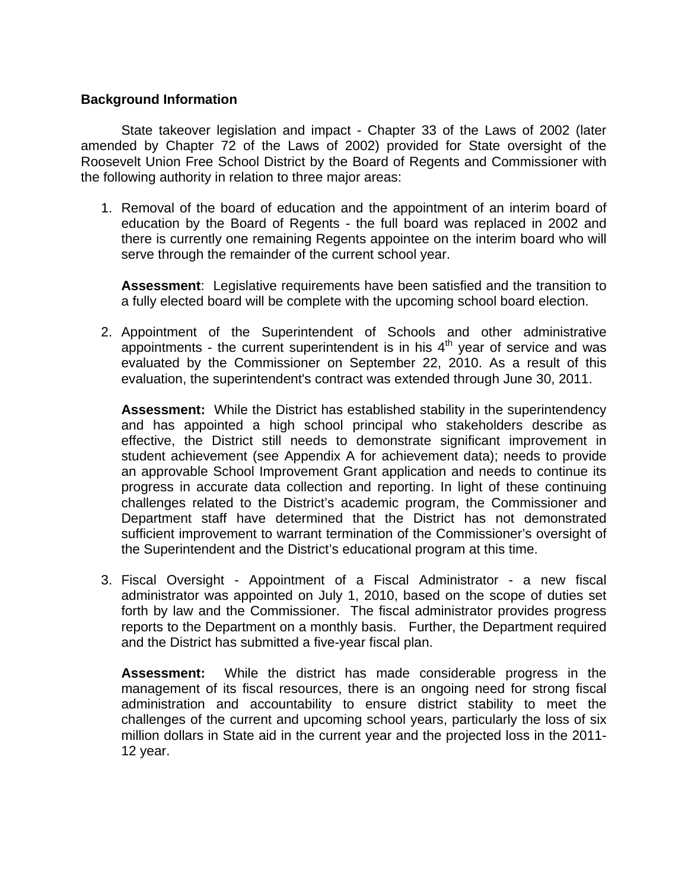### **Background Information**

State takeover legislation and impact - Chapter 33 of the Laws of 2002 (later amended by Chapter 72 of the Laws of 2002) provided for State oversight of the Roosevelt Union Free School District by the Board of Regents and Commissioner with the following authority in relation to three major areas:

1. Removal of the board of education and the appointment of an interim board of education by the Board of Regents - the full board was replaced in 2002 and there is currently one remaining Regents appointee on the interim board who will serve through the remainder of the current school year.

**Assessment**: Legislative requirements have been satisfied and the transition to a fully elected board will be complete with the upcoming school board election.

2. Appointment of the Superintendent of Schools and other administrative appointments - the current superintendent is in his  $4<sup>th</sup>$  year of service and was evaluated by the Commissioner on September 22, 2010. As a result of this evaluation, the superintendent's contract was extended through June 30, 2011.

**Assessment:** While the District has established stability in the superintendency and has appointed a high school principal who stakeholders describe as effective, the District still needs to demonstrate significant improvement in student achievement (see Appendix A for achievement data); needs to provide an approvable School Improvement Grant application and needs to continue its progress in accurate data collection and reporting. In light of these continuing challenges related to the District's academic program, the Commissioner and Department staff have determined that the District has not demonstrated sufficient improvement to warrant termination of the Commissioner's oversight of the Superintendent and the District's educational program at this time.

3. Fiscal Oversight - Appointment of a Fiscal Administrator - a new fiscal administrator was appointed on July 1, 2010, based on the scope of duties set forth by law and the Commissioner. The fiscal administrator provides progress reports to the Department on a monthly basis. Further, the Department required and the District has submitted a five-year fiscal plan.

**Assessment:** While the district has made considerable progress in the management of its fiscal resources, there is an ongoing need for strong fiscal administration and accountability to ensure district stability to meet the challenges of the current and upcoming school years, particularly the loss of six million dollars in State aid in the current year and the projected loss in the 2011- 12 year.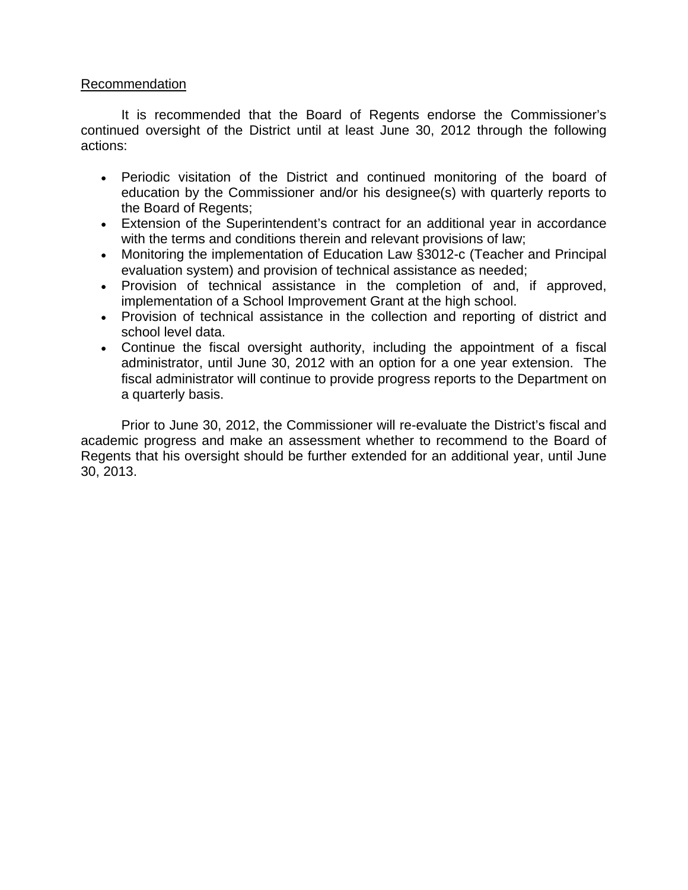# Recommendation

It is recommended that the Board of Regents endorse the Commissioner's continued oversight of the District until at least June 30, 2012 through the following actions:

- Periodic visitation of the District and continued monitoring of the board of education by the Commissioner and/or his designee(s) with quarterly reports to the Board of Regents;
- Extension of the Superintendent's contract for an additional year in accordance with the terms and conditions therein and relevant provisions of law;
- Monitoring the implementation of Education Law §3012-c (Teacher and Principal evaluation system) and provision of technical assistance as needed;
- Provision of technical assistance in the completion of and, if approved, implementation of a School Improvement Grant at the high school.
- Provision of technical assistance in the collection and reporting of district and school level data.
- Continue the fiscal oversight authority, including the appointment of a fiscal administrator, until June 30, 2012 with an option for a one year extension. The fiscal administrator will continue to provide progress reports to the Department on a quarterly basis.

Prior to June 30, 2012, the Commissioner will re-evaluate the District's fiscal and academic progress and make an assessment whether to recommend to the Board of Regents that his oversight should be further extended for an additional year, until June 30, 2013.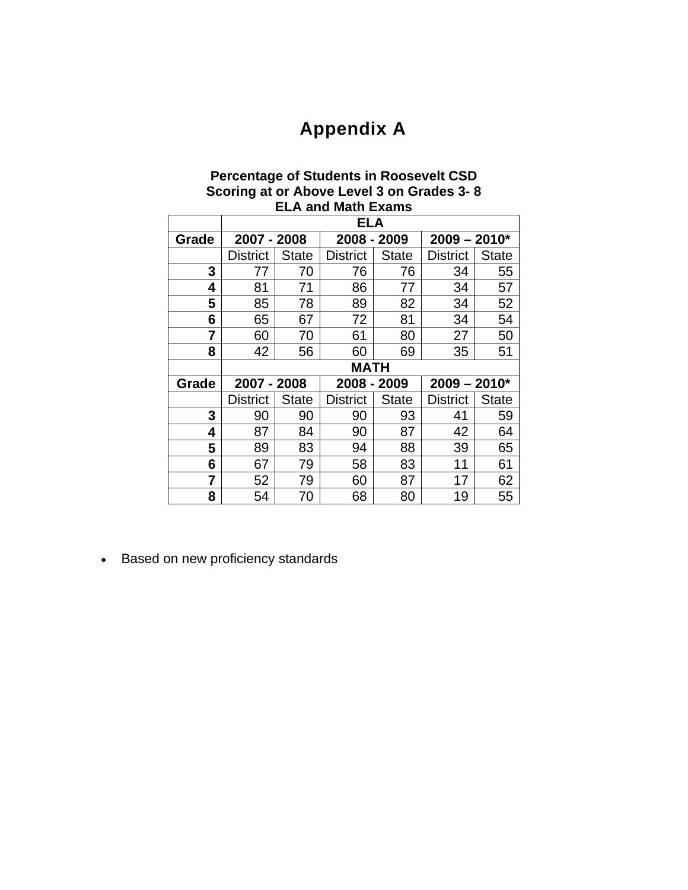# **Appendix A**

# **Percentage of Students in Roosevelt CSD Scoring at or Above Level 3 on Grades 3- 8 ELA and Math Exams**

|       | <b>ELA</b>      |              |                 |              |                 |              |  |  |
|-------|-----------------|--------------|-----------------|--------------|-----------------|--------------|--|--|
| Grade | 2007 - 2008     |              | 2008 - 2009     |              | $2009 - 2010*$  |              |  |  |
|       | <b>District</b> | <b>State</b> | <b>District</b> | <b>State</b> | <b>District</b> | <b>State</b> |  |  |
| 3     | 77              | 70           | 76              | 76           | 34              | 55           |  |  |
| 4     | 81              | 71           | 86              | 77           | 34              | 57           |  |  |
| 5     | 85              | 78           | 89              | 82           | 34              | 52           |  |  |
| 6     | 65              | 67           | 72              | 81           | 34              | 54           |  |  |
| 7     | 60              | 70           | 61              | 80           | 27              | 50           |  |  |
| 8     | 42              | 56           | 60              | 69           | 35              | 51           |  |  |
|       | <b>MATH</b>     |              |                 |              |                 |              |  |  |
| Grade | 2007 - 2008     |              | 2008 - 2009     |              | $2009 - 2010*$  |              |  |  |
|       | <b>District</b> | <b>State</b> | <b>District</b> |              |                 |              |  |  |
|       |                 |              |                 | <b>State</b> | <b>District</b> | <b>State</b> |  |  |
| 3     | 90              | 90           | 90              | 93           | 41              | 59           |  |  |
| 4     | 87              | 84           | 90              | 87           | 42              | 64           |  |  |
| 5     | 89              | 83           | 94              | 88           | 39              | 65           |  |  |
| 6     | 67              | 79           | 58              | 83           | 11              | 61           |  |  |
| 7     | 52              | 79           | 60              | 87           | 17              | 62           |  |  |

Based on new proficiency standards